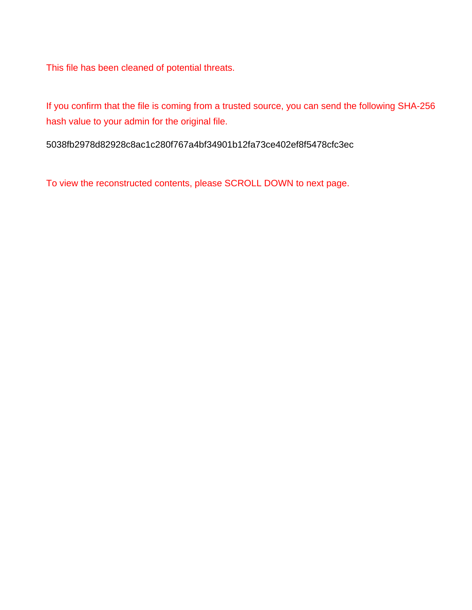This file has been cleaned of potential threats.

If you confirm that the file is coming from a trusted source, you can send the following SHA-256 hash value to your admin for the original file.

5038fb2978d82928c8ac1c280f767a4bf34901b12fa73ce402ef8f5478cfc3ec

To view the reconstructed contents, please SCROLL DOWN to next page.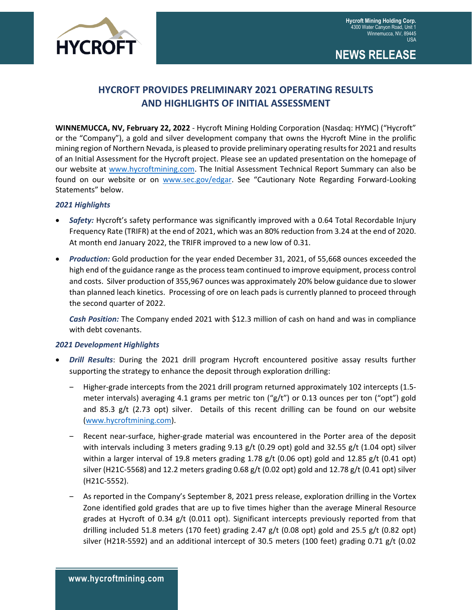

**NEWS RELEASE**

# **HYCROFT PROVIDES PRELIMINARY 2021 OPERATING RESULTS AND HIGHLIGHTS OF INITIAL ASSESSMENT**

**WINNEMUCCA, NV, February 22, 2022** - Hycroft Mining Holding Corporation (Nasdaq: HYMC) ("Hycroft" or the "Company"), a gold and silver development company that owns the Hycroft Mine in the prolific mining region of Northern Nevada, is pleased to provide preliminary operating results for 2021 and results of an Initial Assessment for the Hycroft project. Please see an updated presentation on the homepage of our website at www.hycroftmining.com. The Initial Assessment Technical Report Summary can also be found on our website or on www.sec.gov/edgar. See "Cautionary Note Regarding Forward-Looking Statements" below.

## *2021 Highlights*

- *Safety:* Hycroft's safety performance was significantly improved with a 0.64 Total Recordable Injury Frequency Rate (TRIFR) at the end of 2021, which was an 80% reduction from 3.24 at the end of 2020. At month end January 2022, the TRIFR improved to a new low of 0.31.
- *Production:* Gold production for the year ended December 31, 2021, of 55,668 ounces exceeded the high end of the guidance range as the process team continued to improve equipment, process control and costs. Silver production of 355,967 ounces was approximately 20% below guidance due to slower than planned leach kinetics. Processing of ore on leach pads is currently planned to proceed through the second quarter of 2022.

*Cash Position:* The Company ended 2021 with \$12.3 million of cash on hand and was in compliance with debt covenants.

#### *2021 Development Highlights*

- *Drill Results*: During the 2021 drill program Hycroft encountered positive assay results further supporting the strategy to enhance the deposit through exploration drilling:
	- ‒ Higher-grade intercepts from the 2021 drill program returned approximately 102 intercepts (1.5 meter intervals) averaging 4.1 grams per metric ton ("g/t") or 0.13 ounces per ton ("opt") gold and 85.3 g/t (2.73 opt) silver. Details of this recent drilling can be found on our website (www.hycroftmining.com).
	- ‒ Recent near-surface, higher-grade material was encountered in the Porter area of the deposit with intervals including 3 meters grading 9.13 g/t (0.29 opt) gold and 32.55 g/t (1.04 opt) silver within a larger interval of 19.8 meters grading 1.78 g/t (0.06 opt) gold and 12.85 g/t (0.41 opt) silver (H21C-5568) and 12.2 meters grading 0.68 g/t (0.02 opt) gold and 12.78 g/t (0.41 opt) silver (H21C-5552).
	- As reported in the Company's September 8, 2021 press release, exploration drilling in the Vortex Zone identified gold grades that are up to five times higher than the average Mineral Resource grades at Hycroft of 0.34 g/t (0.011 opt). Significant intercepts previously reported from that drilling included 51.8 meters (170 feet) grading 2.47 g/t (0.08 opt) gold and 25.5 g/t (0.82 opt) silver (H21R-5592) and an additional intercept of 30.5 meters (100 feet) grading 0.71 g/t (0.02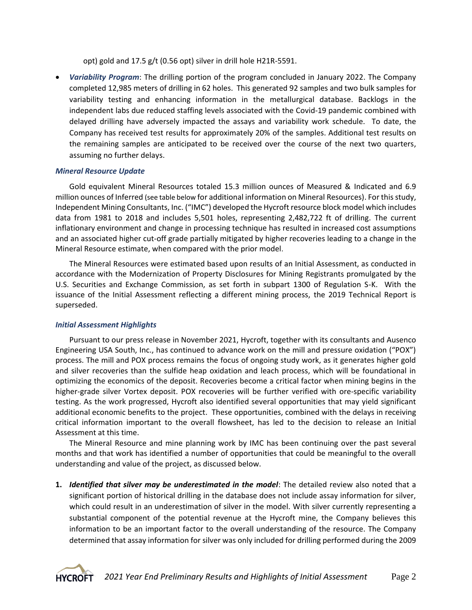opt) gold and 17.5 g/t (0.56 opt) silver in drill hole H21R-5591.

 *Variability Program*: The drilling portion of the program concluded in January 2022. The Company completed 12,985 meters of drilling in 62 holes. This generated 92 samples and two bulk samples for variability testing and enhancing information in the metallurgical database. Backlogs in the independent labs due reduced staffing levels associated with the Covid-19 pandemic combined with delayed drilling have adversely impacted the assays and variability work schedule. To date, the Company has received test results for approximately 20% of the samples. Additional test results on the remaining samples are anticipated to be received over the course of the next two quarters, assuming no further delays.

# *Mineral Resource Update*

Gold equivalent Mineral Resources totaled 15.3 million ounces of Measured & Indicated and 6.9 million ounces of Inferred (see table below for additional information on Mineral Resources). For this study, Independent Mining Consultants, Inc. ("IMC") developed the Hycroft resource block model which includes data from 1981 to 2018 and includes 5,501 holes, representing 2,482,722 ft of drilling. The current inflationary environment and change in processing technique has resulted in increased cost assumptions and an associated higher cut-off grade partially mitigated by higher recoveries leading to a change in the Mineral Resource estimate, when compared with the prior model.

The Mineral Resources were estimated based upon results of an Initial Assessment, as conducted in accordance with the Modernization of Property Disclosures for Mining Registrants promulgated by the U.S. Securities and Exchange Commission, as set forth in subpart 1300 of Regulation S-K. With the issuance of the Initial Assessment reflecting a different mining process, the 2019 Technical Report is superseded.

# *Initial Assessment Highlights*

Pursuant to our press release in November 2021, Hycroft, together with its consultants and Ausenco Engineering USA South, Inc., has continued to advance work on the mill and pressure oxidation ("POX") process. The mill and POX process remains the focus of ongoing study work, as it generates higher gold and silver recoveries than the sulfide heap oxidation and leach process, which will be foundational in optimizing the economics of the deposit. Recoveries become a critical factor when mining begins in the higher-grade silver Vortex deposit. POX recoveries will be further verified with ore-specific variability testing. As the work progressed, Hycroft also identified several opportunities that may yield significant additional economic benefits to the project. These opportunities, combined with the delays in receiving critical information important to the overall flowsheet, has led to the decision to release an Initial Assessment at this time.

The Mineral Resource and mine planning work by IMC has been continuing over the past several months and that work has identified a number of opportunities that could be meaningful to the overall understanding and value of the project, as discussed below.

**1.** *Identified that silver may be underestimated in the model*: The detailed review also noted that a significant portion of historical drilling in the database does not include assay information for silver, which could result in an underestimation of silver in the model. With silver currently representing a substantial component of the potential revenue at the Hycroft mine, the Company believes this information to be an important factor to the overall understanding of the resource. The Company determined that assay information for silver was only included for drilling performed during the 2009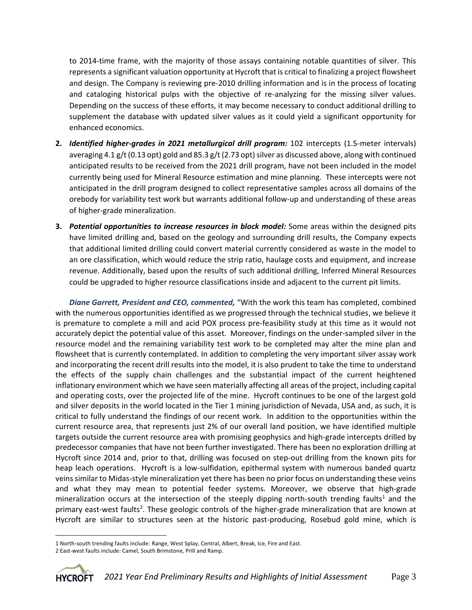to 2014-time frame, with the majority of those assays containing notable quantities of silver. This represents a significant valuation opportunity at Hycroft that is critical to finalizing a project flowsheet and design. The Company is reviewing pre-2010 drilling information and is in the process of locating and cataloging historical pulps with the objective of re-analyzing for the missing silver values. Depending on the success of these efforts, it may become necessary to conduct additional drilling to supplement the database with updated silver values as it could yield a significant opportunity for enhanced economics.

- **2.** *Identified higher-grades in 2021 metallurgical drill program:* 102 intercepts (1.5-meter intervals) averaging 4.1 g/t (0.13 opt) gold and 85.3 g/t (2.73 opt) silver as discussed above, along with continued anticipated results to be received from the 2021 drill program, have not been included in the model currently being used for Mineral Resource estimation and mine planning. These intercepts were not anticipated in the drill program designed to collect representative samples across all domains of the orebody for variability test work but warrants additional follow-up and understanding of these areas of higher-grade mineralization.
- **3.** *Potential opportunities to increase resources in block model:* Some areas within the designed pits have limited drilling and, based on the geology and surrounding drill results, the Company expects that additional limited drilling could convert material currently considered as waste in the model to an ore classification, which would reduce the strip ratio, haulage costs and equipment, and increase revenue. Additionally, based upon the results of such additional drilling, Inferred Mineral Resources could be upgraded to higher resource classifications inside and adjacent to the current pit limits.

*Diane Garrett, President and CEO, commented,* "With the work this team has completed, combined with the numerous opportunities identified as we progressed through the technical studies, we believe it is premature to complete a mill and acid POX process pre-feasibility study at this time as it would not accurately depict the potential value of this asset. Moreover, findings on the under-sampled silver in the resource model and the remaining variability test work to be completed may alter the mine plan and flowsheet that is currently contemplated. In addition to completing the very important silver assay work and incorporating the recent drill results into the model, it is also prudent to take the time to understand the effects of the supply chain challenges and the substantial impact of the current heightened inflationary environment which we have seen materially affecting all areas of the project, including capital and operating costs, over the projected life of the mine. Hycroft continues to be one of the largest gold and silver deposits in the world located in the Tier 1 mining jurisdiction of Nevada, USA and, as such, it is critical to fully understand the findings of our recent work. In addition to the opportunities within the current resource area, that represents just 2% of our overall land position, we have identified multiple targets outside the current resource area with promising geophysics and high-grade intercepts drilled by predecessor companies that have not been further investigated. There has been no exploration drilling at Hycroft since 2014 and, prior to that, drilling was focused on step-out drilling from the known pits for heap leach operations. Hycroft is a low-sulfidation, epithermal system with numerous banded quartz veins similar to Midas-style mineralization yet there has been no prior focus on understanding these veins and what they may mean to potential feeder systems. Moreover, we observe that high-grade mineralization occurs at the intersection of the steeply dipping north-south trending faults<sup>1</sup> and the primary east-west faults<sup>2</sup>. These geologic controls of the higher-grade mineralization that are known at Hycroft are similar to structures seen at the historic past-producing, Rosebud gold mine, which is

<sup>2</sup> East-west faults include: Camel, South Brimstone, Prill and Ramp.



 $\overline{a}$ 

<sup>1</sup> North-south trending faults include: Range, West Splay, Central, Albert, Break, Ice, Fire and East.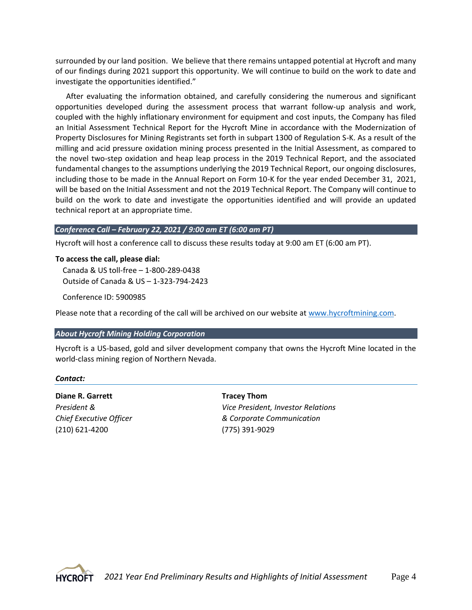surrounded by our land position. We believe that there remains untapped potential at Hycroft and many of our findings during 2021 support this opportunity. We will continue to build on the work to date and investigate the opportunities identified."

After evaluating the information obtained, and carefully considering the numerous and significant opportunities developed during the assessment process that warrant follow-up analysis and work, coupled with the highly inflationary environment for equipment and cost inputs, the Company has filed an Initial Assessment Technical Report for the Hycroft Mine in accordance with the Modernization of Property Disclosures for Mining Registrants set forth in subpart 1300 of Regulation S-K. As a result of the milling and acid pressure oxidation mining process presented in the Initial Assessment, as compared to the novel two-step oxidation and heap leap process in the 2019 Technical Report, and the associated fundamental changes to the assumptions underlying the 2019 Technical Report, our ongoing disclosures, including those to be made in the Annual Report on Form 10-K for the year ended December 31, 2021, will be based on the Initial Assessment and not the 2019 Technical Report. The Company will continue to build on the work to date and investigate the opportunities identified and will provide an updated technical report at an appropriate time.

# *Conference Call – February 22, 2021 / 9:00 am ET (6:00 am PT)*

Hycroft will host a conference call to discuss these results today at 9:00 am ET (6:00 am PT).

## **To access the call, please dial:**

Canada & US toll‐free – 1-800-289-0438

Outside of Canada & US – 1‐323-794-2423

Conference ID: 5900985

Please note that a recording of the call will be archived on our website at www.hycroftmining.com.

# *About Hycroft Mining Holding Corporation*

Hycroft is a US-based, gold and silver development company that owns the Hycroft Mine located in the world-class mining region of Northern Nevada.

#### *Contact:*

**Diane R. Garrett Tracey Thom** (210) 621-4200 (775) 391-9029

*President & Vice President, Investor Relations Chief Executive Officer & Corporate Communication* 

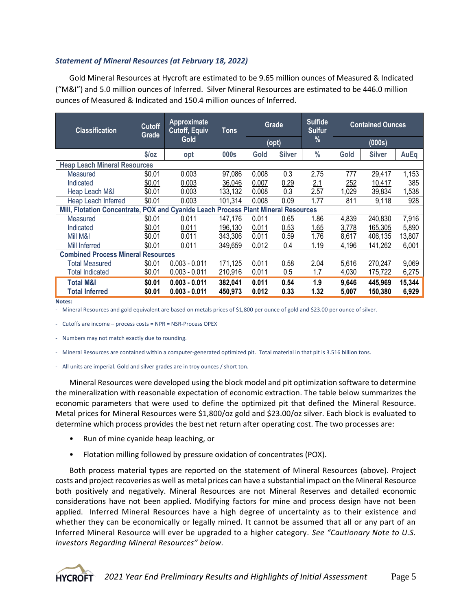# *Statement of Mineral Resources (at February 18, 2022)*

Gold Mineral Resources at Hycroft are estimated to be 9.65 million ounces of Measured & Indicated ("M&I") and 5.0 million ounces of Inferred. Silver Mineral Resources are estimated to be 446.0 million ounces of Measured & Indicated and 150.4 million ounces of Inferred.

| <b>Classification</b>                                                              | <b>Cutoff</b><br>Grade | Approximate<br><b>Cutoff, Equiv</b><br><b>Gold</b> | <b>Tons</b>        | Grade          |               | <b>Sulfide</b><br><b>Sulfur</b><br>% | <b>Contained Ounces</b> |                    |                 |
|------------------------------------------------------------------------------------|------------------------|----------------------------------------------------|--------------------|----------------|---------------|--------------------------------------|-------------------------|--------------------|-----------------|
|                                                                                    |                        |                                                    |                    | (opt)          |               |                                      | (000s)                  |                    |                 |
|                                                                                    | $$$ /oz                | opt                                                | 000s               | Gold           | <b>Silver</b> | $\frac{0}{0}$                        | Gold                    | <b>Silver</b>      | AuEq            |
| <b>Heap Leach Mineral Resources</b>                                                |                        |                                                    |                    |                |               |                                      |                         |                    |                 |
| Measured                                                                           | \$0.01                 | 0.003                                              | 97,086             | 0.008          | 0.3           | 2.75                                 | 777                     | 29,417             | 1,153           |
| Indicated                                                                          | \$0.01                 | 0.003                                              | 36,046             | 0.007          | 0.29          | 2.1                                  | 252                     | 10,417             | 385             |
| Heap Leach M&I                                                                     | \$0.01                 | 0.003                                              | 133,132            | 0.008          | 0.3           | 2.57                                 | 1,029                   | 39,834             | 1,538           |
| Heap Leach Inferred                                                                | \$0.01                 | 0.003                                              | 101,314            | 0.008          | 0.09          | 1.77                                 | 811                     | 9,118              | 928             |
| Mill, Flotation Concentrate, POX and Cyanide Leach Process Plant Mineral Resources |                        |                                                    |                    |                |               |                                      |                         |                    |                 |
| <b>Measured</b>                                                                    | \$0.01                 | 0.011                                              | 147.176            | 0.011          | 0.65          | 1.86                                 | 4,839                   | 240,830            | 7,916           |
| Indicated                                                                          | \$0.01                 | 0.011                                              | 196,130            | 0.011          | 0.53          | 1.65                                 | 3,778                   | 165,305            | 5,890           |
| Mill M&I                                                                           | \$0.01                 | 0.011                                              | 343,306            | 0.011          | 0.59          | 1.76                                 | 8,617                   | 406,135            | 13,807          |
| Mill Inferred                                                                      | \$0.01                 | 0.011                                              | 349,659            | 0.012          | 0.4           | 1.19                                 | 4,196                   | 141,262            | 6,001           |
| <b>Combined Process Mineral Resources</b>                                          |                        |                                                    |                    |                |               |                                      |                         |                    |                 |
| <b>Total Measured</b>                                                              | \$0.01                 | $0.003 - 0.011$                                    | 171.125            | 0.011          | 0.58          | 2.04                                 | 5,616                   | 270.247            | 9,069           |
| <b>Total Indicated</b>                                                             | \$0.01                 | $0.003 - 0.011$                                    | 210,916            | 0.011          | 0.5           | 1.7                                  | 4,030                   | 175,722            | 6,275           |
| <b>Total M&amp;I</b><br><b>Total Inferred</b>                                      | \$0.01<br>\$0.01       | $0.003 - 0.011$<br>$0.003 - 0.011$                 | 382,041<br>450,973 | 0.011<br>0.012 | 0.54<br>0.33  | 1.9<br>1.32                          | 9,646<br>5,007          | 445,969<br>150,380 | 15,344<br>6,929 |

**Notes:**

‐ Mineral Resources and gold equivalent are based on metals prices of \$1,800 per ounce of gold and \$23.00 per ounce of silver.

‐ Cutoffs are income – process costs = NPR = NSR-Process OPEX

‐ Numbers may not match exactly due to rounding.

‐ Mineral Resources are contained within a computer-generated optimized pit. Total material in that pit is 3.516 billion tons.

‐ All units are imperial. Gold and silver grades are in troy ounces / short ton.

Mineral Resources were developed using the block model and pit optimization software to determine the mineralization with reasonable expectation of economic extraction. The table below summarizes the economic parameters that were used to define the optimized pit that defined the Mineral Resource. Metal prices for Mineral Resources were \$1,800/oz gold and \$23.00/oz silver. Each block is evaluated to determine which process provides the best net return after operating cost. The two processes are:

- Run of mine cyanide heap leaching, or
- Flotation milling followed by pressure oxidation of concentrates (POX).

Both process material types are reported on the statement of Mineral Resources (above). Project costs and project recoveries as well as metal prices can have a substantial impact on the Mineral Resource both positively and negatively. Mineral Resources are not Mineral Reserves and detailed economic considerations have not been applied. Modifying factors for mine and process design have not been applied. Inferred Mineral Resources have a high degree of uncertainty as to their existence and whether they can be economically or legally mined. It cannot be assumed that all or any part of an Inferred Mineral Resource will ever be upgraded to a higher category. *See "Cautionary Note to U.S. Investors Regarding Mineral Resources" below.*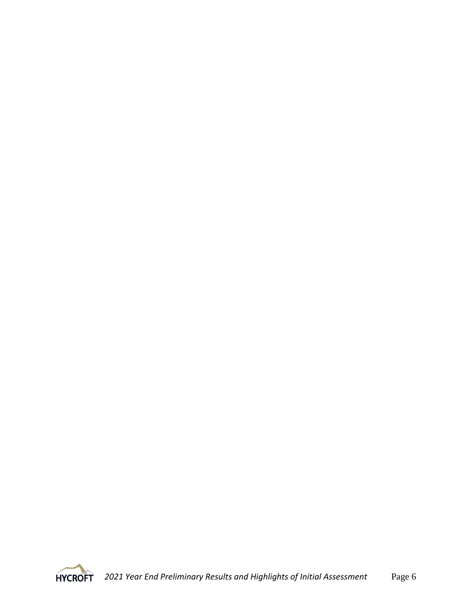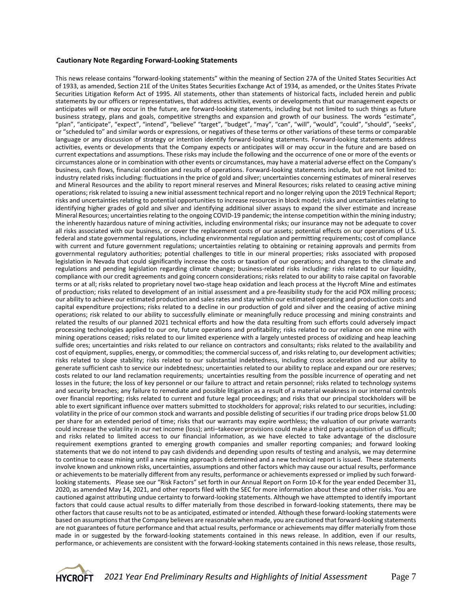#### **Cautionary Note Regarding Forward-Looking Statements**

This news release contains "forward-looking statements" within the meaning of Section 27A of the United States Securities Act of 1933, as amended, Section 21E of the Unites States Securities Exchange Act of 1934, as amended, or the Unites States Private Securities Litigation Reform Act of 1995. All statements, other than statements of historical facts, included herein and public statements by our officers or representatives, that address activities, events or developments that our management expects or anticipates will or may occur in the future, are forward-looking statements, including but not limited to such things as future business strategy, plans and goals, competitive strengths and expansion and growth of our business. The words "estimate", "plan", "anticipate", "expect", "intend", "believe" "target", "budget", "may", "can", "will", "would", "could", "should", "seeks", or "scheduled to" and similar words or expressions, or negatives of these terms or other variations of these terms or comparable language or any discussion of strategy or intention identify forward-looking statements. Forward-looking statements address activities, events or developments that the Company expects or anticipates will or may occur in the future and are based on current expectations and assumptions. These risks may include the following and the occurrence of one or more of the events or circumstances alone or in combination with other events or circumstances, may have a material adverse effect on the Company's business, cash flows, financial condition and results of operations. Forward-looking statements include, but are not limited to: industry related risks including: fluctuations in the price of gold and silver; uncertainties concerning estimates of mineral reserves and Mineral Resources and the ability to report mineral reserves and Mineral Resources; risks related to ceasing active mining operations; risk related to issuing a new initial assessment technical report and no longer relying upon the 2019 Technical Report; risks and uncertainties relating to potential opportunities to increase resources in block model; risks and uncertainties relating to identifying higher grades of gold and silver and identifying additional silver assays to expand the silver estimate and increase Mineral Resources; uncertainties relating to the ongoing COVID-19 pandemic; the intense competition within the mining industry; the inherently hazardous nature of mining activities, including environmental risks; our insurance may not be adequate to cover all risks associated with our business, or cover the replacement costs of our assets; potential effects on our operations of U.S. federal and state governmental regulations, including environmental regulation and permitting requirements; cost of compliance with current and future government regulations; uncertainties relating to obtaining or retaining approvals and permits from governmental regulatory authorities; potential challenges to title in our mineral properties; risks associated with proposed legislation in Nevada that could significantly increase the costs or taxation of our operations; and changes to the climate and regulations and pending legislation regarding climate change; business-related risks including: risks related to our liquidity, compliance with our credit agreements and going concern considerations; risks related to our ability to raise capital on favorable terms or at all; risks related to proprietary novel two-stage heap oxidation and leach process at the Hycroft Mine and estimates of production; risks related to development of an initial assessment and a pre-feasibility study for the acid POX milling process; our ability to achieve our estimated production and sales rates and stay within our estimated operating and production costs and capital expenditure projections; risks related to a decline in our production of gold and silver and the ceasing of active mining operations; risk related to our ability to successfully eliminate or meaningfully reduce processing and mining constraints and related the results of our planned 2021 technical efforts and how the data resulting from such efforts could adversely impact processing technologies applied to our ore, future operations and profitability; risks related to our reliance on one mine with mining operations ceased; risks related to our limited experience with a largely untested process of oxidizing and heap leaching sulfide ores; uncertainties and risks related to our reliance on contractors and consultants; risks related to the availability and cost of equipment, supplies, energy, or commodities; the commercial success of, and risks relating to, our development activities; risks related to slope stability; risks related to our substantial indebtedness, including cross acceleration and our ability to generate sufficient cash to service our indebtedness; uncertainties related to our ability to replace and expand our ore reserves; costs related to our land reclamation requirements; uncertainties resulting from the possible incurrence of operating and net losses in the future; the loss of key personnel or our failure to attract and retain personnel; risks related to technology systems and security breaches; any failure to remediate and possible litigation as a result of a material weakness in our internal controls over financial reporting; risks related to current and future legal proceedings; and risks that our principal stockholders will be able to exert significant influence over matters submitted to stockholders for approval; risks related to our securities, including: volatility in the price of our common stock and warrants and possible delisting of securities if our trading price drops below \$1.00 per share for an extended period of time; risks that our warrants may expire worthless; the valuation of our private warrants could increase the volatility in our net income (loss); anti–takeover provisions could make a third party acquisition of us difficult; and risks related to limited access to our financial information, as we have elected to take advantage of the disclosure requirement exemptions granted to emerging growth companies and smaller reporting companies; and forward looking statements that we do not intend to pay cash dividends and depending upon results of testing and analysis, we may determine to continue to cease mining until a new mining approach is determined and a new technical report is issued. These statements involve known and unknown risks, uncertainties, assumptions and other factors which may cause our actual results, performance or achievements to be materially different from any results, performance or achievements expressed or implied by such forwardlooking statements. Please see our "Risk Factors" set forth in our Annual Report on Form 10-K for the year ended December 31, 2020, as amended May 14, 2021, and other reports filed with the SEC for more information about these and other risks. You are cautioned against attributing undue certainty to forward-looking statements. Although we have attempted to identify important factors that could cause actual results to differ materially from those described in forward-looking statements, there may be other factors that cause results not to be as anticipated, estimated or intended. Although these forward-looking statements were based on assumptions that the Company believes are reasonable when made, you are cautioned that forward-looking statements are not guarantees of future performance and that actual results, performance or achievements may differ materially from those made in or suggested by the forward-looking statements contained in this news release. In addition, even if our results, performance, or achievements are consistent with the forward-looking statements contained in this news release, those results,